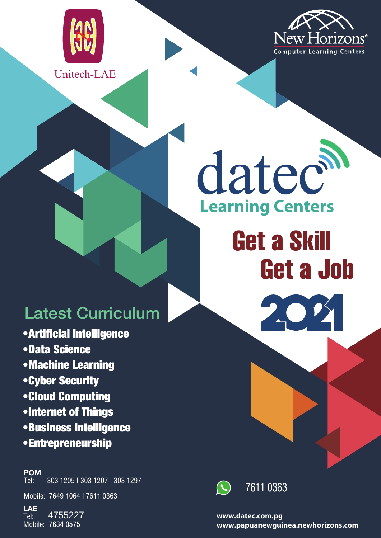



### Unitech-LAE

# datech **Learning Centers**

# Get a Skill Get a Job

# Latest Curriculum

•Artificial Intelligence •Data Science •Machine Learning •Cyber Security •Cloud Computing •Internet of Things •Business Intelligence •Entrepreneurship

#### **POM**

Tel: 303 1205 I 303 1207 I 303 1297

Mobile: 7649 1064 I 7611 0363

**LAE** Tel: Mobile: 7634 0575 4755227



7611 0363

**www.datec.com.pg www.papuanewguinea.newhorizons.com**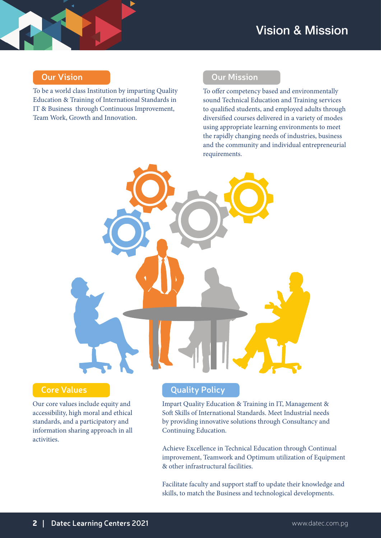#### **Our Vision**

To be a world class Institution by imparting Quality Education & Training of International Standards in IT & Business through Continuous Improvement, Team Work, Growth and Innovation.

### **Our Mission**

To offer competency based and environmentally sound Technical Education and Training services to qualified students, and employed adults through diversified courses delivered in a variety of modes using appropriate learning environments to meet the rapidly changing needs of industries, business and the community and individual entrepreneurial requirements.



#### **Core Values**

Our core values include equity and accessibility, high moral and ethical standards, and a participatory and information sharing approach in all activities.

#### **Quality Policy**

Impart Quality Education & Training in IT, Management & Soft Skills of International Standards. Meet Industrial needs by providing innovative solutions through Consultancy and Continuing Education.

Achieve Excellence in Technical Education through Continual improvement, Teamwork and Optimum utilization of Equipment & other infrastructural facilities.

Facilitate faculty and support staff to update their knowledge and skills, to match the Business and technological developments.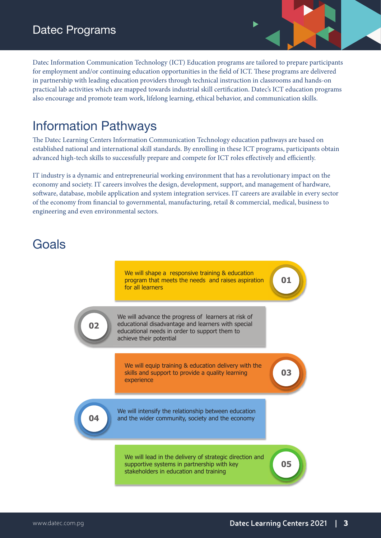Datec Information Communication Technology (ICT) Education programs are tailored to prepare participants for employment and/or continuing education opportunities in the field of ICT. These programs are delivered in partnership with leading education providers through technical instruction in classrooms and hands-on practical lab activities which are mapped towards industrial skill certification. Datec's ICT education programs also encourage and promote team work, lifelong learning, ethical behavior, and communication skills.

### Information Pathways

The Datec Learning Centers Information Communication Technology education pathways are based on established national and international skill standards. By enrolling in these ICT programs, participants obtain advanced high-tech skills to successfully prepare and compete for ICT roles effectively and efficiently.

IT industry is a dynamic and entrepreneurial working environment that has a revolutionary impact on the economy and society. IT careers involves the design, development, support, and management of hardware, software, database, mobile application and system integration services. IT careers are available in every sector of the economy from financial to governmental, manufacturing, retail & commercial, medical, business to engineering and even environmental sectors.

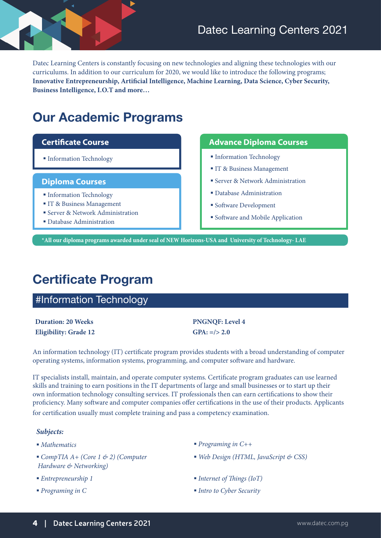Datec Learning Centers is constantly focusing on new technologies and aligning these technologies with our curriculums. In addition to our curriculum for 2020, we would like to introduce the following programs; **Innovative Entrepreneurship, Artificial Intelligence, Machine Learning, Data Science, Cyber Security, Business Intelligence, I.O.T and more…**

### **Our Academic Programs**

#### **Diploma Courses**

- **Information Technology**
- IT & Business Management
- Server & Network Administration
- Database Administration

#### **Certificate Course Advance Diploma Courses**

- Information Technology Information Technology
	- IT & Business Management
	- Server & Network Administration
	- Database Administration
	- Software Development
	- Software and Mobile Application

 **\*All our diploma programs awarded under seal of NEW Horizons-USA and University of Technology- LAE**

### **Certificate Program**

### #Information Technology

**Duration: 20 Weeks PNGNOF: Level 4 Eligibility: Grade 12 GPA: =/> 2.0**

An information technology (IT) certificate program provides students with a broad understanding of computer operating systems, information systems, programming, and computer software and hardware.

IT specialists install, maintain, and operate computer systems. Certificate program graduates can use learned skills and training to earn positions in the IT departments of large and small businesses or to start up their own information technology consulting services. IT professionals then can earn certifications to show their proficiency. Many software and computer companies offer certifications in the use of their products. Applicants for certification usually must complete training and pass a competency examination.

#### *Subjects:*

- 
- *CompTIA A+ (Core 1 & 2) (Computer Hardware & Networking)*
- 
- 
- *Mathematics Programing in C++*
	- *Web Design (HTML, JavaScript & CSS)*
- *Entrepreneurship 1 Internet of Things (IoT)*
- *Programing in C Intro to Cyber Security*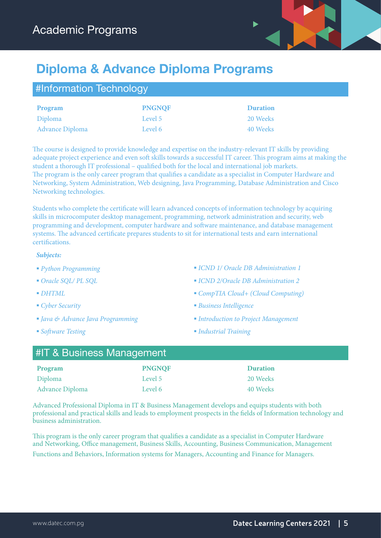

## **Diploma & Advance Diploma Programs**

| #Information Technology |               |                 |  |
|-------------------------|---------------|-----------------|--|
| Program                 | <b>PNGNQF</b> | <b>Duration</b> |  |
| Diploma                 | Level 5       | 20 Weeks        |  |
| <b>Advance Diploma</b>  | Level 6       | 40 Weeks        |  |

The course is designed to provide knowledge and expertise on the industry-relevant IT skills by providing adequate project experience and even soft skills towards a successful IT career. This program aims at making the student a thorough IT professional – qualified both for the local and international job markets. The program is the only career program that qualifies a candidate as a specialist in Computer Hardware and Networking, System Administration, Web designing, Java Programming, Database Administration and Cisco Networking technologies.

Students who complete the certificate will learn advanced concepts of information technology by acquiring skills in microcomputer desktop management, programming, network administration and security, web programming and development, computer hardware and software maintenance, and database management systems. The advanced certificate prepares students to sit for international tests and earn international certifications.

#### *Subjects:*

- 
- 
- 
- 
- *Java & Advance Java Programming Introduction to Project Management*
- 
- *Python Programming ICND 1/ Oracle DB Administration 1*
- *Oracle SQL/ PL SQL ICND 2/Oracle DB Administration 2*
- *DHTML CompTIA Cloud+ (Cloud Computing)*
- *Cyber Security Business Intelligence*
	-
- *Software Testing Industrial Training*

| #IT & Business Management<br><b>PNGNQF</b><br><b>Duration</b><br>Program<br>20 Weeks<br>Diploma<br>Level 5 |         |          |  |  |  |  |  |
|------------------------------------------------------------------------------------------------------------|---------|----------|--|--|--|--|--|
|                                                                                                            |         |          |  |  |  |  |  |
|                                                                                                            |         |          |  |  |  |  |  |
| <b>Advance Diploma</b>                                                                                     | Level 6 | 40 Weeks |  |  |  |  |  |

Advanced Professional Diploma in IT & Business Management develops and equips students with both professional and practical skills and leads to employment prospects in the fields of Information technology and business administration.

This program is the only career program that qualifies a candidate as a specialist in Computer Hardware and Networking, Office management, Business Skills, Accounting, Business Communication, Management Functions and Behaviors, Information systems for Managers, Accounting and Finance for Managers.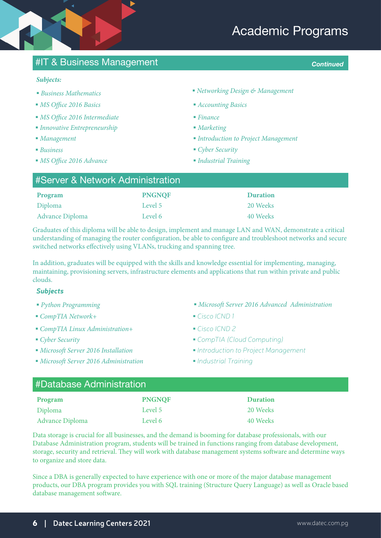### Academic Programs

### #IT & Business Management *Continued*

#### *Subjects:*

- 
- *MS Office 2016 Basics Accounting Basics*
- *MS Office 2016 Intermediate Finance*
- *Innovative Entrepreneurship Marketing*
- *Management*
- *Business*
- *MS Office 2016 Advance Industrial Training*
- *Business Mathematics Networking Design & Management*
	-
	-
	-
	- *Introduction to Project Management*
	- *Cyber Security*
	-

| #Server & Network Administration |               |                 |  |
|----------------------------------|---------------|-----------------|--|
| Program                          | <b>PNGNQF</b> | <b>Duration</b> |  |
| Diploma                          | Level 5       | 20 Weeks        |  |
| <b>Advance Diploma</b>           | Level 6       | 40 Weeks        |  |

Graduates of this diploma will be able to design, implement and manage LAN and WAN, demonstrate a critical understanding of managing the router configuration, be able to configure and troubleshoot networks and secure switched networks effectively using VLANs, trucking and spanning tree.

In addition, graduates will be equipped with the skills and knowledge essential for implementing, managing, maintaining, provisioning servers, infrastructure elements and applications that run within private and public clouds.

#### *Subjects:*

- 
- *CompTIA Network+ Cisco ICND 1*
- *CompTIA Linux Administration+ Cisco ICND 2*
- 
- 
- *Microsoft Server 2016 Administration Industrial Training*
- *Python Programming Microsoft Server 2016 Advanced Administration*
	-
	-
- *Cyber Security CompTIA (Cloud Computing)*
- *Microsoft Server 2016 Installation Introduction to Project Management*
	-

| #Database Administration |               |                 |  |
|--------------------------|---------------|-----------------|--|
| Program                  | <b>PNGNQF</b> | <b>Duration</b> |  |
| Diploma                  | Level 5       | 20 Weeks        |  |
| <b>Advance Diploma</b>   | Level 6       | 40 Weeks        |  |

Data storage is crucial for all businesses, and the demand is booming for database professionals, with our Database Administration program, students will be trained in functions ranging from database development, storage, security and retrieval. They will work with database management systems software and determine ways to organize and store data.

Since a DBA is generally expected to have experience with one or more of the major database management products, our DBA program provides you with SQL training (Structure Query Language) as well as Oracle based database management software.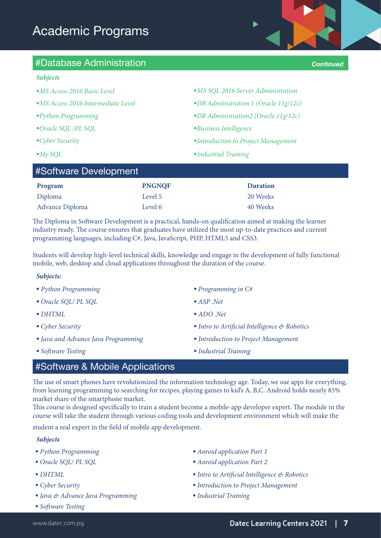

- 
- 
- *Oracle SQL /PL SQL Business Intelligence*

 $\text{HCM}$  Development Development

- 
- 

| <b>MS SQL 2016 Server Administration</b> |  |
|------------------------------------------|--|
|------------------------------------------|--|

- *MS Access 2016 Intermediate Level DB Administration 1 (Oracle 11g/12c)*
- *Python Programming DB Administration2 (Oracle 11g/12c)*
	-
- *Cyber Security Introduction to Project Management*
- *My SQL Industrial Training*

| $\uparrow$ $\uparrow$ $\uparrow$ $\uparrow$ $\uparrow$ $\uparrow$ $\uparrow$ $\uparrow$ $\uparrow$ $\uparrow$ $\uparrow$ $\uparrow$ $\uparrow$ $\uparrow$ $\uparrow$ $\uparrow$ $\uparrow$ $\uparrow$ $\uparrow$ $\uparrow$ $\uparrow$ $\uparrow$ $\uparrow$ $\uparrow$ $\uparrow$ $\uparrow$ $\uparrow$ $\uparrow$ $\uparrow$ $\uparrow$ $\uparrow$ $\uparrow$ $\uparrow$ $\uparrow$ $\uparrow$ $\uparrow$ $\uparrow$<br><b>PNGNQF</b><br><b>Duration</b><br>Program<br>Diploma<br>20 Weeks<br>Level 5 |         |          |  |
|---------------------------------------------------------------------------------------------------------------------------------------------------------------------------------------------------------------------------------------------------------------------------------------------------------------------------------------------------------------------------------------------------------------------------------------------------------------------------------------------------------|---------|----------|--|
|                                                                                                                                                                                                                                                                                                                                                                                                                                                                                                         |         |          |  |
|                                                                                                                                                                                                                                                                                                                                                                                                                                                                                                         |         |          |  |
| Advance Diploma                                                                                                                                                                                                                                                                                                                                                                                                                                                                                         | Level 6 | 40 Weeks |  |

The Diploma in Software Development is a practical, hands-on qualification aimed at making the learner industry ready. The course ensures that graduates have utilized the most up-to-date practices and current programming languages, including C#, Java, JavaScript, PHP, HTML5 and CSS3.

Students will develop high-level technical skills, knowledge and engage in the development of fully functional mobile, web, desktop and cloud applications throughout the duration of the course.

#### *Subjects:*

- *Python Programming Programming in C#*
- *Oracle SQL/ PL SQL ASP .Net*
- 
- 
- *Java and Advance Java Programming Introduction to Project Management*
- 
- 
- 
- *DHTML ADO .Net*
- *Cyber Security Intro to Artificial Intelligence & Robotics* 
	-
- *Software Testing Industrial Training*

### #Software & Mobile Applications

The use of smart phones have revolutionized the information technology age. Today, we use apps for everything, from learning programming to searching for recipes, playing games to kid's A, B,C. Android holds nearly 85% market share of the smartphone market.

This course is designed specifically to train a student become a mobile-app developer expert. The module in the course will take the student through various coding tools and development environment which will make the

student a real expert in the field of mobile app development.

#### *Subjects:*

- 
- 
- 
- 
- *Java & Advance Java Programming Industrial Training*
- *Software Testing*
- *Python Programming Anroid application Part 1*
- *Oracle SQL/ PL SQL Anroid application Part 2*
- *DHTML Intro to Artificial Intelligence & Robotics*
- *Cyber Security Introduction to Project Management* 
	-

*Continued*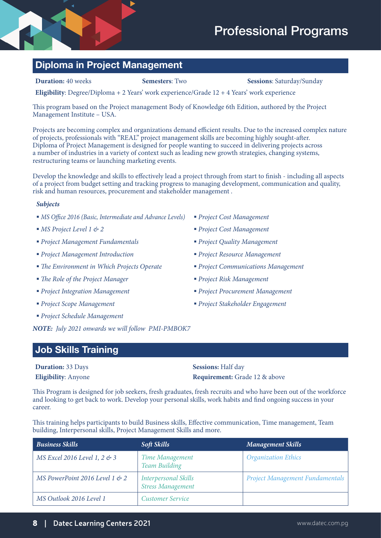### **Diploma in Project Management**

**Duration:** 40 weeks **Semesters**: Two **Sessions**: Saturday/Sunday

**Eligibility**: Degree/Diploma + 2 Years' work experience/Grade 12 + 4 Years' work experience

This program based on the Project management Body of Knowledge 6th Edition, authored by the Project Management Institute – USA.

Projects are becoming complex and organizations demand efficient results. Due to the increased complex nature of projects, professionals with "REAL" project management skills are becoming highly sought-after. Diploma of Project Management is designed for people wanting to succeed in delivering projects across a number of industries in a variety of context such as leading new growth strategies, changing systems, restructuring teams or launching marketing events.

Develop the knowledge and skills to effectively lead a project through from start to finish - including all aspects of a project from budget setting and tracking progress to managing development, communication and quality, risk and human resources, procurement and stakeholder management .

#### *Subjects:*

- *MS Office 2016 (Basic, Intermediate and Advance Levels) Project Cost Management*
- *MS Project Level 1 & 2 Project Cost Management*
- *Project Management Fundamentals Project Quality Management*
- *Project Management Introduction Project Resource Management*
- *The Environment in Which Projects Operate Project Communications Management*
- *The Role of the Project Manager Project Risk Management*
- *Project Integration Management Project Procurement Management*
- *Project Scope Management Project Stakeholder Engagement*
- *Project Schedule Management*

*NOTE: July 2021 onwards we will follow PMI-PMBOK7*

#### **Job Skills Training**

**Duration:** 33 Days **Sessions:** Half day

**Eligibility**: Anyone **Requirement:** Grade 12 & above

This Program is designed for job seekers, fresh graduates, fresh recruits and who have been out of the workforce and looking to get back to work. Develop your personal skills, work habits and find ongoing success in your career.

This training helps participants to build Business skills, Effective communication, Time management, Team building, Interpersonal skills, Project Management Skills and more.

| <b>Business Skills</b>            | <b>Soft Skills</b>                                      | <b>Management Skills</b>               |
|-----------------------------------|---------------------------------------------------------|----------------------------------------|
| MS Excel 2016 Level 1, 2 $\&$ 3   | Time Management<br><b>Team Building</b>                 | <b>Organization Ethics</b>             |
| MS PowerPoint 2016 Level 1 $\&$ 2 | <b>Interpersonal Skills</b><br><b>Stress Management</b> | <b>Project Management Fundamentals</b> |
| MS Outlook 2016 Level 1           | <b>Customer Service</b>                                 |                                        |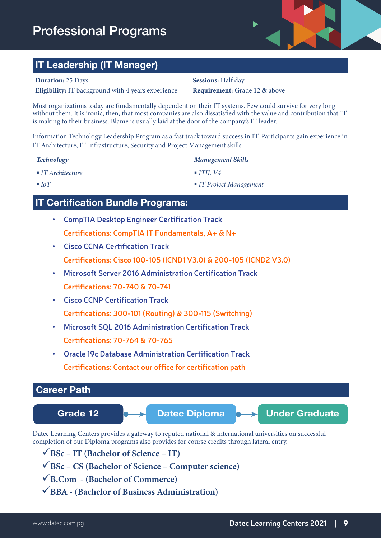### Professional Programs



### **IT Leadership (IT Manager)**

#### **Duration:** 25 Days **Sessions:** Half day

**Eligibility:** IT background with 4 years experience **Requirement:** Grade 12 & above

Most organizations today are fundamentally dependent on their IT systems. Few could survive for very long without them. It is ironic, then, that most companies are also dissatisfied with the value and contribution that IT is making to their business. Blame is usually laid at the door of the company's IT leader.

Information Technology Leadership Program as a fast track toward success in IT. Participants gain experience in IT Architecture, IT Infrastructure, Security and Project Management skills.

#### *Technology Management Skills*

*IT Architecture* 

*ITIL V4*

■ *IoT* 

#### *IT Project Management*

### **IT Certification Bundle Programs:**

- **• CompTIA Desktop Engineer Certification Track Certifications: CompTIA IT Fundamentals, A+ & N+**
- **• Cisco CCNA Certification Track Certifications: Cisco 100-105 (ICND1 V3.0) & 200-105 (ICND2 V3.0)**
- **• Microsoft Server 2016 Administration Certification Track Certifications: 70-740 & 70-741**
- **• Cisco CCNP Certification Track Certifications: 300-101 (Routing) & 300-115 (Switching)**
- **• Microsoft SQL 2016 Administration Certification Track Certifications: 70-764 & 70-765**
- **Oracle 19c Database Administration Certification Track Certifications: Contact our office for certification path**

# Datec Learning Centers provides a gateway to reputed national & international universities on successful completion of our Diploma programs also provides for course credits through lateral entry. Grade 12 **Datec Diploma Company** Under Graduate  **Career Path**

- **BSc IT (Bachelor of Science IT)**
- **BSc CS (Bachelor of Science Computer science)**
- **B.Com (Bachelor of Commerce)**
- **BBA (Bachelor of Business Administration)**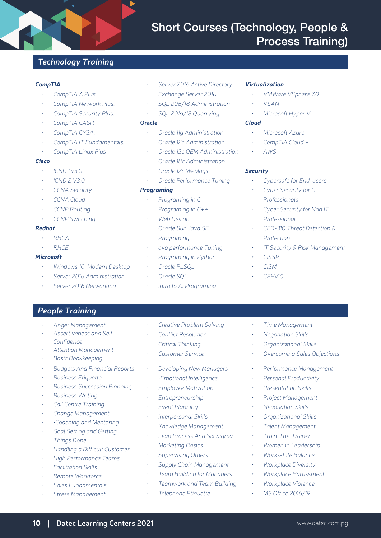### Short Courses (Technology, People & Process Training)

#### *Technology Training*

#### *CompTIA*

- *• CompTIA A Plus.*
- *• CompTIA Network Plus.*
- CompTIA Security Plus.
- *• CompTIA CASP.*
- *• CompTIA CYSA.*
- *• CompTIA IT Fundamentals.*
- *• CompTIA Linux Plus*

#### *Cisco*

- *• ICND 1 v3.0*
- *• ICND 2 V3.0*
- *• CCNA Security*
- *• CCNA Cloud*
- *• CCNP Routing*
- *• CCNP Switching*

#### *Redhat*

- *• RHCA*
- *• RHCE*

#### *Microsoft*

- *• Windows 10 Modern Desktop*
- *• Server 2016 Administration*
- **Server 2016 Networking**
- **Server 2016 Active Directory**
- *Exchange Server 2016*
- *• SQL 206/18 Administration*
- *• SQL 2016/18 Quarrying*

#### **Oracle**

- *• Oracle 11g Administration*
- *• Oracle 12c Administration*
- *• Oracle 13c OEM Administration*
- *• Oracle 18c Administration*
- *• Oracle 12c Weblogic*
- *• Oracle Performance Tuning*

#### *Programing*

- *• Programing in C*
- *• Programing in C++*
- *• Web Design*
- *• Oracle Sun Java SE Programing*
- *• ava performance Tuning*
- *• Programing in Python*
- *• Oracle PLSQL*
- *• Oracle SQL*
- *Intro to AI Programing*

#### *Virtualization*

- *• VMWare VSphere 7.0*
- *• VSAN*
- *• Microsoft Hyper V*

#### *Cloud*

- *• Microsoft Azure*
- *• CompTIA Cloud +*
- *• AWS*

#### *Security*

- **Cybersafe for End-users**
- *Cyber Security for IT Professionals*
- *Cyber Security for Non IT Professional*
- *• CFR-310 Threat Detection & Protection*
- *• IT Security & Risk Management*
- *• CISSP*
- *• CISM*
- *• CEHv10*

#### *People Training*

- *• Anger Management*
- *• Assertiveness and Self-Confidence*
- *• Attention Management*
- *• Basic Bookkeeping*
- *• Budgets And Financial Reports*
- *• Business Etiquette*
- **Business Succession Planning**
- *• Business Writing*
- *Call Centre Training*
- *• Change Management*
- *• •Coaching and Mentoring*
- *• Goal Setting and Getting Things Done*
- *• Handling a Difficult Customer*
- *• High Performance Teams*
- *• Facilitation Skills*
- *• Remote Workforce*
- *• Sales Fundamentals*
- *• Stress Management*
- *Creative Problem Solving*
- *• Conflict Resolution*
- *• Critical Thinking*
- *• Customer Service*
- *• Developing New Managers*
- *• •Emotional Intelligence*
- *<u>Employee Motivation</u>*
- *• Entrepreneurship*
- *Event Planning*
- *• Interpersonal Skills*
- *• Knowledge Management*
- **Lean Process And Six Sigma**
- *• Marketing Basics*
- *Supervising Others*
- *Supply Chain Management*
- *Team Building for Managers*

10 **|****Datec Learning Centers 2021** www.datec.com.pg

*• Teamwork and Team Building*

#### *• Telephone Etiquette*

*• Time Management*

*• Negotiation Skills • Organizational Skills*

*• Overcoming Sales Objections*

*• Performance Management • Personal Productivity • Presentation Skills • Project Management • Negotiation Skills • Organizational Skills • Talent Management • Train-The-Trainer • Women in Leadership • Works-Life Balance • Workplace Diversity • Workplace Harassment • Workplace Violence • MS Office 2016/19*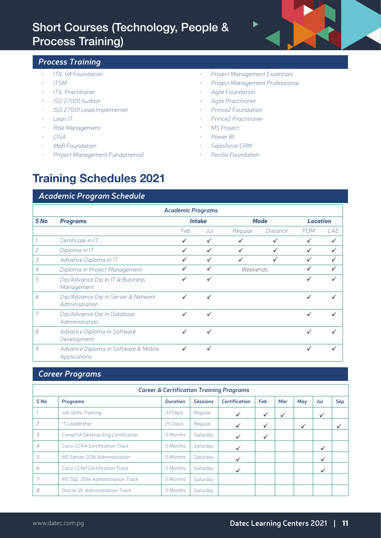### Short Courses (Technology, People & Process Training)



#### *Process Training*

- *• ITIL V4 Foundation*
- *• ITSM*
- *• ITIL Practitioner*
- *• ISO 27001 Auditor*
- *• ISO 27001 Lead Implementer*
- *• Lean IT*
- *• Risk Management*
- *• CISA*
- *• MoR Foundation*
- *• Project Management Fundamental*
- *• Project Management Essentials*
- *• Project Management Professional*
- *• Agile Foundation*
- *• Agile Practitioner*
- *• Prince2 Foundation*
- *• Prince2 Practitioner*
- *• MS Project*
- *• Power BI*
- *• Salesforce CRM*
- *• Resilia Foundation*

### **Training Schedules 2021**

#### *Academic Program Schedule*

| <b>Academic Programs</b> |                                                       |              |               |              |                 |            |              |  |  |  |  |  |
|--------------------------|-------------------------------------------------------|--------------|---------------|--------------|-----------------|------------|--------------|--|--|--|--|--|
| S No                     | <b>Programs</b>                                       |              | <b>Intake</b> | <b>Mode</b>  | <b>Location</b> |            |              |  |  |  |  |  |
|                          |                                                       | Feb          | Jul           | Regular      | <i>Distance</i> | <b>POM</b> | LAE          |  |  |  |  |  |
|                          | Certificate in IT                                     | $\checkmark$ | ✓             |              |                 |            | $\checkmark$ |  |  |  |  |  |
| 2                        | Diploma in IT                                         |              | $\checkmark$  | $\checkmark$ | $\checkmark$    | ✓          | $\checkmark$ |  |  |  |  |  |
| 3                        | Advance Diploma in IT                                 | ✓            | ✓             | $\checkmark$ | $\checkmark$    | ✓          | $\checkmark$ |  |  |  |  |  |
| $\overline{A}$           | Diploma in Project Management                         |              | $\checkmark$  | Weekends     |                 | ✓          |              |  |  |  |  |  |
| 5                        | Dip/Advance Dip in IT & Business<br>Management        | ✓            | ✓             |              |                 | ✓          | ✓            |  |  |  |  |  |
| 6                        | Dip/Advance Dip in Server & Network<br>Administration | $\checkmark$ | ✓             |              |                 | ✓          | ✓            |  |  |  |  |  |
| $\overline{7}$           | Dip/Advance Dip in Database<br>Administration         | ✓            | ✓             |              |                 |            |              |  |  |  |  |  |
| 8                        | Advance Diploma in Software<br>Development            | ✓            | ✓             |              |                 | ✓          |              |  |  |  |  |  |
| 9                        | Advance Diploma in Software & Mobile<br>Applications  |              |               |              |                 |            | ✓            |  |  |  |  |  |

#### *Career Programs*

| <b>Career &amp; Certification Training Programs</b> |                                   |                 |                 |                      |     |     |     |              |              |  |  |  |
|-----------------------------------------------------|-----------------------------------|-----------------|-----------------|----------------------|-----|-----|-----|--------------|--------------|--|--|--|
| S No                                                | Programs                          | <b>Duration</b> | <b>Sessions</b> | <b>Certification</b> | Feb | Mar | May | Jul          | Sep          |  |  |  |
|                                                     | Job Skills Training               | 33 Days         | Regular         | ✓                    | ✓   | ✓   |     | ✓            |              |  |  |  |
| $\overline{\phantom{0}}$                            | <b>IT Leadership</b>              | 25 Days         | Regular         | $\checkmark$         | ✓   |     | ✓   |              | $\checkmark$ |  |  |  |
| 3                                                   | CompTIA Desktop Eng Certification | 5 Months        | Saturday        |                      | ✓   |     |     |              |              |  |  |  |
| $\overline{4}$                                      | Cisco CCNA Certification Track    | 5 Months        | Saturday        | ✓                    |     |     |     | $\checkmark$ |              |  |  |  |
| 5                                                   | MS Server 2016 Administration     | 5 Months        | Saturday        | ✓                    |     |     |     | $\checkmark$ |              |  |  |  |
| 6                                                   | Cisco CCNP Certification Track    | 5 Months        | Saturday        |                      |     |     |     | $\checkmark$ |              |  |  |  |
|                                                     | MS SQL 2016 Administration Track  | 5 Months        | Saturday        |                      |     |     |     |              |              |  |  |  |
| 8                                                   | Oracle 12c Administration Track   | 5 Months        | Saturday        |                      |     |     |     |              |              |  |  |  |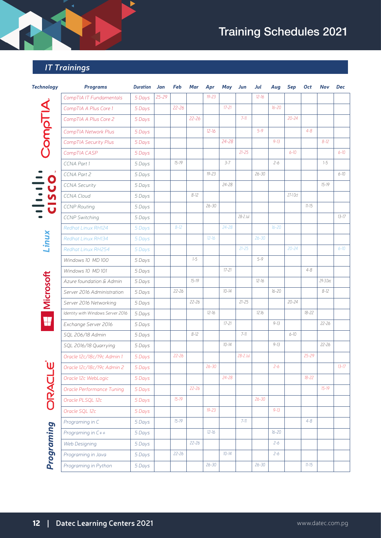# Training Schedules 2021

### *IT Trainings*

| <b>Technology</b>       | <b>Programs</b>                   | <b>Duration</b> | Jan       | Feb       | Mar       | Apr       | May       | Jun       | Jul       | Aug       | <b>Sep</b> | <b>Oct</b> | Nov       | Dec       |
|-------------------------|-----------------------------------|-----------------|-----------|-----------|-----------|-----------|-----------|-----------|-----------|-----------|------------|------------|-----------|-----------|
|                         | CompTIA IT Fundamentals           | 5 Days          | $25 - 29$ |           |           | $19 - 23$ |           |           | $12 - 16$ |           |            |            |           |           |
|                         | CompTIA A Plus Core 1             | 5 Days          |           | $22 - 26$ |           |           | $17 - 21$ |           |           | $16 - 20$ |            |            |           |           |
| CompTIA                 | CompTIA A Plus Core 2             | 5 Days          |           |           | $22 - 26$ |           |           | $7 - 11$  |           |           | $20 - 24$  |            |           |           |
|                         | CompTIA Network Plus              | 5 Days          |           |           |           | $12 - 16$ |           |           | $5 - 9$   |           |            | $4 - 8$    |           |           |
|                         | CompTIA Security Plus             | 5 Days          |           |           |           |           | 24-28     |           |           | $9 - 13$  |            |            | $8 - 12$  |           |
|                         | CompTIA CASP                      | 5 Days          |           |           |           |           |           | $21 - 25$ |           |           | $6 - 10$   |            |           | $6 - 10$  |
|                         | CCNA Part 1                       | 5 Days          |           | $15 - 19$ |           |           | $3 - 7$   |           |           | $2 - 6$   |            |            | $1 - 5$   |           |
| O                       | CCNA Part 2                       | 5 Days          |           |           |           | $19 - 23$ |           |           | $26 - 30$ |           |            |            |           | $6 - 10$  |
| $\overline{\mathbf{U}}$ | <b>CCNA Security</b>              | 5 Days          |           |           |           |           | 24-28     |           |           |           |            |            | $15 - 19$ |           |
|                         | <b>CCNA Cloud</b>                 | 5 Days          |           |           | $8 - 12$  |           |           |           |           |           | 27-10ct    |            |           |           |
| $\mathbf U$             | <b>CCNP Routing</b>               | 5 Days          |           |           |           | $26 - 30$ |           |           |           |           |            | $11 - 15$  |           |           |
|                         | <b>CCNP Switching</b>             | 5 Days          |           |           |           |           |           | 28-2 Jul  |           |           |            |            |           | $13 - 17$ |
|                         | <b>Redhat Linux RH124</b>         | 5 Days          |           | $8 - 12$  |           |           | $24 - 28$ |           |           | $16 - 20$ |            |            |           |           |
| Linux                   | Redhat Linux RH134                | 5 Days          |           |           |           | $12 - 16$ |           |           | $26 - 30$ |           |            |            |           |           |
|                         | Redhat Linux RH254                | 5 Days          |           |           |           |           |           | $21 - 25$ |           |           | $20 - 24$  |            |           | $6 - 10$  |
|                         | Windows 10 MD 100                 | 5 Days          |           |           | $1 - 5$   |           |           |           | 5-9       |           |            |            |           |           |
|                         | Windows 10 MD 101                 | 5 Days          |           |           |           |           | $17 - 21$ |           |           |           |            | $4 - 8$    |           |           |
| Microsoft               | Azure foundation & Admin          | 5 Days          |           |           | $15 - 19$ |           |           |           | $12 - 16$ |           |            |            | 29-3 Dec  |           |
|                         | Server 2016 Administration        | 5 Days          |           | 22-26     |           |           | $10 - 14$ |           |           | $16 - 20$ |            |            | $8 - 12$  |           |
|                         | Server 2016 Networking            | 5 Days          |           |           | $22 - 26$ |           |           | $21 - 25$ |           |           | $20 - 24$  |            |           |           |
|                         | Identity with Windows Server 2016 | 5 Days          |           |           |           | $12 - 16$ |           |           | 12.16     |           |            | $18 - 22$  |           |           |
| W                       | Exchange Server 2016              | 5 Days          |           |           |           |           | $17 - 21$ |           |           | $9 - 13$  |            |            | $22 - 26$ |           |
|                         | SQL 206/18 Admin                  | 5 Days          |           |           | $8 - 12$  |           |           | $7 - 11$  |           |           | $6 - 10$   |            |           |           |
|                         | SQL 2016/18 Quarrying             | 5 Days          |           |           |           |           | $10 - 14$ |           |           | $9 - 13$  |            |            | $22 - 26$ |           |
|                         | Oracle 12c/18c/19c Admin 1        | 5 Days          |           | $22 - 26$ |           |           |           | 28-2 Jul  |           |           |            | $25 - 29$  |           |           |
| ับ                      | Oracle 12c/18c/19c Admin 2        | 5 Days          |           |           |           | $26 - 30$ |           |           |           | $2 - 6$   |            |            |           | $13 - 17$ |
|                         | Oracle 12c WebLogic               | 5 Days          |           |           |           |           | 24-28     |           |           |           |            | $18 - 22$  |           |           |
|                         | <b>Oracle Performance Tuning</b>  | 5 Days          |           |           | $22 - 26$ |           |           |           |           |           |            |            | $15 - 19$ |           |
| ORACL                   | Oracle PLSQL 12c                  | 5 Days          |           | $15 - 19$ |           |           |           |           | $26 - 30$ |           |            |            |           |           |
|                         | Oracle SQL 12c                    | 5 Days          |           |           |           | $19 - 23$ |           |           |           | $9 - 13$  |            |            |           |           |
|                         | Programing in C                   | 5 Days          |           | $15 - 19$ |           |           |           | $7 - 11$  |           |           |            | $4 - 8$    |           |           |
| Programing              | Programing in C++                 | 5 Days          |           |           |           | $12 - 16$ |           |           |           | $16 - 20$ |            |            |           |           |
|                         | Web Designing                     | 5 Days          |           |           | $22 - 26$ |           |           |           |           | $2 - 6$   |            |            |           |           |
|                         | Programing in Java                | 5 Days          |           | $22 - 26$ |           |           | $10 - 14$ |           |           | $2 - 6$   |            |            |           |           |
|                         | Programing in Python              | 5 Days          |           |           |           | $26 - 30$ |           |           | $26 - 30$ |           |            | $11 - 15$  |           |           |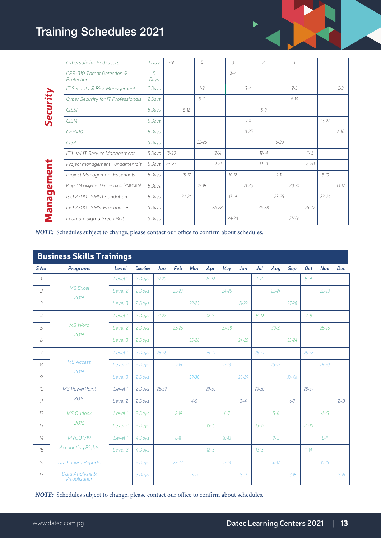### Training Schedules 2021

| Cybersafe for End-users                  | 1 Day     | 29        |           | 5         |           | 3         |           | $\overline{\phantom{a}}$ |           |           |           | 5         |           |
|------------------------------------------|-----------|-----------|-----------|-----------|-----------|-----------|-----------|--------------------------|-----------|-----------|-----------|-----------|-----------|
| CFR-310 Threat Detection &<br>Protection | 5<br>Days |           |           |           |           | $3 - 7$   |           |                          |           |           |           |           |           |
| IT Security & Risk Management            | 2 Days    |           |           | $1 - 7$   |           |           | $3 - 4$   |                          |           | $2 - 3$   |           |           | $2 - 3$   |
| Cyber Security for IT Professionals      | 2 Days    |           |           | $8-12$    |           |           |           |                          |           | $6 - 10$  |           |           |           |
| <b>CISSP</b>                             | 5 Days    |           | $8 - 12$  |           |           |           |           | $5 - 9$                  |           |           |           |           |           |
| <b>CISM</b>                              | 5 Days    |           |           |           |           |           | $7 - 11$  |                          |           |           |           | $15 - 19$ |           |
| CEHv10                                   | 5 Days    |           |           |           |           |           | $21 - 25$ |                          |           |           |           |           | $6 - 10$  |
| <b>CISA</b>                              | 5 Days    |           |           | $22 - 26$ |           |           |           |                          | $16 - 20$ |           |           |           |           |
| ITIL V4 IT Service Management            | 5 Days    | $18 - 20$ |           |           | $12 - 14$ |           |           | $12 - 14$                |           |           | $11 - 13$ |           |           |
| Project management Fundamentals          | 5 Days    | $25 - 27$ |           |           | $19 - 21$ |           |           | $19 - 21$                |           |           | $18 - 20$ |           |           |
| Project Management Essentials            | 5 Days    |           | $15 - 17$ |           |           | $10 - 12$ |           |                          | $9 - 11$  |           |           | $8 - 10$  |           |
| Project Management Professional (PMBOK6) | 5 Days    |           |           | $15 - 19$ |           |           | $21 - 25$ |                          |           | $20 - 24$ |           |           | $13 - 17$ |
| ISO 27001 ISMS Foundation                | 5 Days    |           | $22 - 24$ |           |           | $17-19$   |           |                          | $23 - 25$ |           |           | $23 - 24$ |           |
| ISO 27001 ISMS Practitioner              | 5 Days    |           |           |           | $26 - 28$ |           |           | $26 - 28$                |           |           | $25 - 27$ |           |           |
| Lean Six Sigma Green Belt                | 5 Days    |           |           |           |           | $74 - 78$ |           |                          |           | $27-10ct$ |           |           |           |
|                                          |           |           |           |           |           |           |           |                          |           |           |           |           |           |

*NOTE:* Schedules subject to change, please contact our office to confirm about schedules.

|                 | <b>Business Skills Trainings</b> |                    |                 |           |           |           |           |           |           |           |           |           |           |            |            |
|-----------------|----------------------------------|--------------------|-----------------|-----------|-----------|-----------|-----------|-----------|-----------|-----------|-----------|-----------|-----------|------------|------------|
| S <sub>No</sub> | <b>Programs</b>                  | Level              | <b>Duration</b> | Jan       | Feb       | Mar       | Apr       | May       | Jun       | Jul       | Aug       | Sep       | Oct       | <b>Nov</b> | <b>Dec</b> |
| $\mathcal{I}$   |                                  | Level 1            | 2 Days          | $19 - 20$ |           |           | $8 - 9$   |           |           | $1 - 2$   |           |           | $5 - 6$   |            |            |
| $\overline{c}$  | <b>MS Excel</b><br>2016          | Level 2            | 2 Days          |           | $22 - 23$ |           |           | $24 - 25$ |           |           | $23 - 24$ |           |           | $22 - 23$  |            |
| 3               |                                  | Level 3            | 2 Days          |           |           | $22 - 23$ |           |           | $21 - 22$ |           |           | $27 - 28$ |           |            |            |
| $\overline{4}$  |                                  | Level 1            | 2 Days          | $21 - 22$ |           |           | $12 - 13$ |           |           | $8 - 9$   |           |           | $7 - 8$   |            |            |
| 5               | <b>MS Word</b><br>2016           | Level 2            | 2 Days          |           | $25 - 26$ |           |           | $27 - 28$ |           |           | $30 - 31$ |           |           | $25 - 26$  |            |
| 6               |                                  | Level 3            | 2 Days          |           |           | $25 - 26$ |           |           | $24 - 25$ |           |           | $23 - 24$ |           |            |            |
| 7               |                                  | Level 1            | 2 Days          | $25 - 26$ |           |           | $26 - 27$ |           |           | $26 - 27$ |           |           | $25 - 26$ |            |            |
| 8               | <b>MS Access</b>                 | Level 2            | 2 Days          |           | $15 - 16$ |           |           | $17-18$   |           |           | $16 - 17$ |           |           | $29 - 30$  |            |
| 9               | 2016                             | Level 3            | 2 Days          |           |           | $29 - 30$ |           |           | $28 - 29$ |           |           | 30-1 Oct  |           |            |            |
| 10              | <b>MS PowerPoint</b>             | Level 1            | 2 Days          | $28 - 29$ |           |           | $29 - 30$ |           |           | $29 - 30$ |           |           | $28 - 29$ |            |            |
| 11              | 2016                             | Level 2            | 2 Days          |           |           | $4 - 5$   |           |           | $3 - 4$   |           |           | $6 - 7$   |           |            | $2 - 3$    |
| 12 <sup>°</sup> | <b>MS Outlook</b>                | Level 1            | 2 Days          |           | $18 - 19$ |           |           | $6 - 7$   |           |           | $5 - 6$   |           |           | $4 - 5$    |            |
| 13              | 2016                             | Level 2            | 2 Days          |           |           |           | $15 - 16$ |           |           | $15 - 16$ |           |           | $14 - 15$ |            |            |
| 14              | MYOB V19                         | Level 1            | 4 Days          |           | $8 - 11$  |           |           | $10 - 13$ |           |           | $9 - 12$  |           |           | $8 - 11$   |            |
| 15              | <b>Accounting Rights</b>         | Level <sub>2</sub> | 4 Days          |           |           |           | $12 - 15$ |           |           | $12 - 15$ |           |           | $11 - 14$ |            |            |
| 16              | <b>Dashboard Reports</b>         |                    | 2 Days          |           | $22 - 23$ |           |           | $17-18$   |           |           | $16 - 17$ |           |           | $15-16$    |            |
| 17              | Data Analysis &<br>Visualization |                    | 3 Days          |           |           | $15 - 17$ |           |           | $15 - 17$ |           |           | $13 - 15$ |           |            | $13 - 15$  |

*NOTE:* Schedules subject to change, please contact our office to confirm about schedules.

 $\blacktriangleright$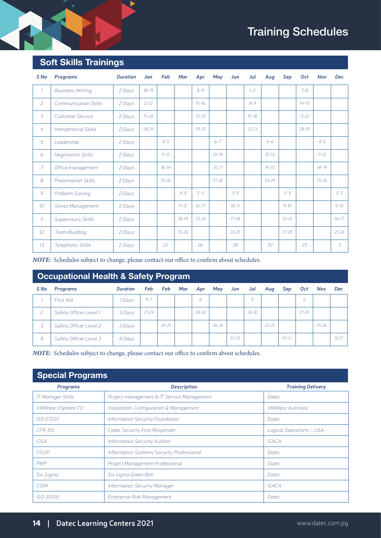### Training Schedules

### **Soft Skills Trainings**

| S <sub>No</sub> | Programs                    | <b>Duration</b> | Jan       | Feb       | Mar       | Apr       | May       | Jun       | Jul       | Aug       | Sep       | Oct       | <b>Nov</b> | <b>Dec</b> |
|-----------------|-----------------------------|-----------------|-----------|-----------|-----------|-----------|-----------|-----------|-----------|-----------|-----------|-----------|------------|------------|
| $\mathcal{I}$   | <b>Business Writing</b>     | 2 Days          | $18 - 19$ |           |           | $8 - 9$   |           |           | $1 - 2$   |           |           | $7 - 8$   |            |            |
| $\overline{c}$  | <b>Communication Skills</b> | 2 Days          | $21 - 22$ |           |           | $15 - 16$ |           |           | $8 - 9$   |           |           | $14 - 15$ |            |            |
| 3               | <b>Customer Service</b>     | 2 Days          | $25 - 26$ |           |           | $22 - 23$ |           |           | $15 - 16$ |           |           | $21 - 22$ |            |            |
| $\overline{4}$  | Interpersonal Skills        | 2 Days          | $28 - 29$ |           |           | $29 - 30$ |           |           | $22 - 23$ |           |           | $28 - 29$ |            |            |
| 5               | Leadership                  | 2 Days          |           | $4 - 5$   |           |           | $6 - 7$   |           |           | $5 - 6$   |           |           | $4 - 5$    |            |
| 6               | <b>Negotiation Skills</b>   | 2 Days          |           | $11 - 12$ |           |           | $13 - 14$ |           |           | $12 - 13$ |           |           | $11 - 12$  |            |
| $\overline{7}$  | Office management           | 2 Days          |           | $18 - 19$ |           |           | $20 - 21$ |           |           | $19 - 20$ |           |           | $18 - 19$  |            |
| 8               | <b>Presentation Skills</b>  | 2 Days          |           | $25 - 26$ |           |           | 27-28     |           |           | $23 - 24$ |           |           | $25 - 26$  |            |
| 9               | Problem Solving             | 2 Days          |           |           | $4 - 5$   | $2 - 3$   |           | $3 - 4$   |           |           | $2 - 3$   |           |            | $2 - 3$    |
| 10 <sup>2</sup> | <b>Stress Management</b>    | 2 Days          |           |           | $11 - 12$ | $16 - 17$ |           | $10 - 11$ |           |           | $9 - 10$  |           |            | $9 - 10$   |
| 11              | Supervisory Skills          | 2 Days          |           |           | $18-19$   | $23 - 24$ |           | $17 - 18$ |           |           | $23 - 24$ |           |            | $16 - 17$  |
| 12 <sup>°</sup> | <b>Team Building</b>        | 2 Days          |           |           | $25 - 26$ |           |           | $24 - 25$ |           |           | $27 - 28$ |           |            | $23 - 24$  |
| 13              | Telephonic Skills           | 2 Days          |           | 22        |           | 26        |           | 28        |           | 30        |           | 25        |            | 3          |

*NOTE:* Schedules subject to change, please contact our office to confirm about schedules.

### **Occupational Health & Safety Program**

| S No                     | Programs               | <b>Duration</b> | Feb       | Feb       | Mar | Apr       | May       | Jun       | Jul   | Aug       | Sep      | Oct   | Nov       | <b>Dec</b> |
|--------------------------|------------------------|-----------------|-----------|-----------|-----|-----------|-----------|-----------|-------|-----------|----------|-------|-----------|------------|
|                          | <b>First Aid</b>       | 1 Days          | $5 - 7$   |           |     | 6         |           |           |       |           |          | 5     |           |            |
|                          | Safety Officer Level 1 | 3 Days          | $27 - 29$ |           |     | $28 - 30$ |           |           | 28-30 |           |          | 27-29 |           |            |
|                          | Safety Officer Level 2 | 3 Days          |           | $24 - 26$ |     |           | $26 - 28$ |           |       | $23 - 25$ |          |       | $24 - 26$ |            |
| $\overline{\mathcal{A}}$ | Safety Officer Level 3 | 4 Days          |           |           |     |           |           | $23 - 25$ |       |           | $29-10c$ |       |           | $15 - 17$  |

*NOTE:* Schedules subject to change, please contact our office to confirm about schedules.

### **Special Programs**

| Programs                 | <b>Description</b>                         | <b>Training Delivery</b> |
|--------------------------|--------------------------------------------|--------------------------|
| <b>IT Manager Skills</b> | Project management & IT Service Management | Datec                    |
| VMWare VSphere 7.0       | Installation, Configuration & Management   | <b>VMWare Australia</b>  |
| <b>ISO 27001</b>         | Information Security Foundation            | Datec                    |
| CFR 310                  | <b>Cyber Security First Responder</b>      | Logical Operations - USA |
| <b>CISA</b>              | <b>Information Security Auditor</b>        | <b>ISACA</b>             |
| <b>CISSP</b>             | Information Systems Security Professional  | <b>Datec</b>             |
| <b>PMP</b>               | Project Management Professional            | Datec                    |
| Six Sigma                | Six sigma Green Belt                       | Datec                    |
| <b>CISM</b>              | <b>Information Security Manager</b>        | <b>ISACA</b>             |
| <b>ISO 31000</b>         | Enterprise Risk Management                 | <b>Datec</b>             |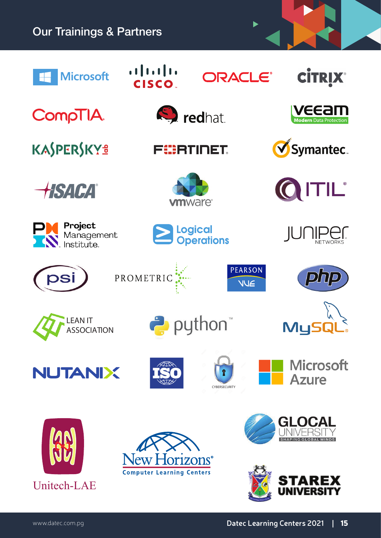### Our Trainings & Partners  $(1)$  $(1)$ **CİTRIX® Microsoft ORACLE®** CISCO. **VEEAII**<br>Modern Data Protection **S**redhat **CompTIA** KASPERSKYS **Symantec** FEERTINET ITIL® HSACA® **vm**ware<sup>®</sup> Project Logical<br>Operations JUNIPETWORKS Management **PEARSON** PROMETRIC php psi **VUE** ®puthon<sup>"</sup> LEAN IT Mu! **ASSOCIATION Microsoft NUTANIX Azure** CYRERSECURITY **GLO**

 ${\rm DIS}^{\circ}$ 

**Computer Learning Centers** 



Unitech-LAE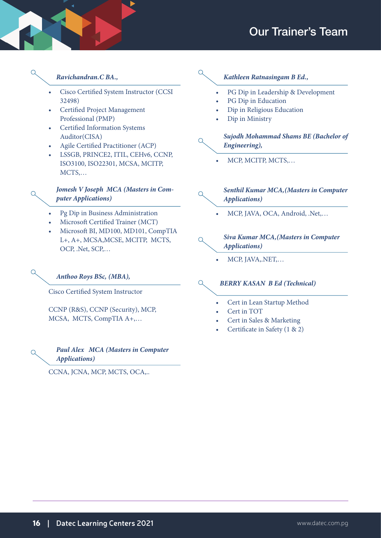### Our Trainer's Team

 $\bigcap$ 

 $\bigcap$ 

 $\bigcap$ 

- • Cisco Certified System Instructor (CCSI 32498)
- • Certified Project Management Professional (PMP)
- • Certified Information Systems Auditor(CISA)
- Agile Certified Practitioner (ACP)
- LSSGB, PRINCE2, ITIL, CEHv6, CCNP, ISO3100, ISO22301, MCSA, MCITP, MCTS,…

#### *Jomesh V Joseph MCA (Masters in Computer Applications)*

- Pg Dip in Business Administration
- Microsoft Certified Trainer (MCT)
- Microsoft BI, MD100, MD101, CompTIA L+, A+, MCSA,MCSE, MCITP, MCTS, OCP, .Net, SCP,…

## *Ravichandran.C BA., Kathleen Ratnasingam B Ed.,*

- PG Dip in Leadership & Development
- PG Dip in Education
- Dip in Religious Education
- Dip in Ministry

#### *Sujodh Mohammad Shams BE (Bachelor of Engineering),*

MCP, MCITP, MCTS,...

#### *Senthil Kumar MCA,(Masters in Computer Applications)*

MCP, JAVA, OCA, Android, .Net,...

#### *Siva Kumar MCA,(Masters in Computer Applications)*

MCP, JAVA,.NET,...

#### $\Omega$ *BERRY KASAN B Ed (Technical)*

 $\bigcirc$ 

 $\Omega$ 

- Cert in Lean Startup Method
- Cert in TOT
- Cert in Sales & Marketing
- Certificate in Safety (1 & 2)

#### *Anthoo Roys BSc, (MBA),*

Cisco Certified System Instructor

CCNP (R&S), CCNP (Security), MCP, MCSA, MCTS, CompTIA A+,…

#### *Paul Alex MCA (Masters in Computer Applications)*

CCNA, JCNA, MCP, MCTS, OCA,..